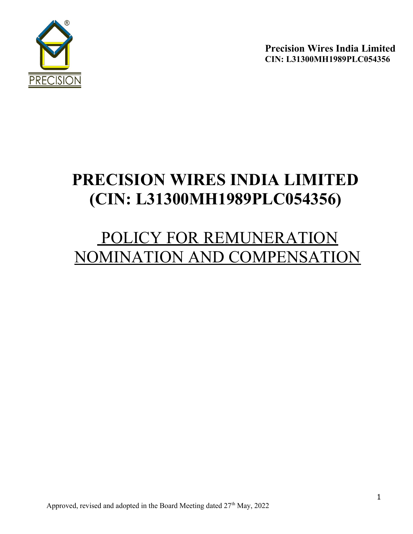

# PRECISION WIRES INDIA LIMITED (CIN: L31300MH1989PLC054356)

# POLICY FOR REMUNERATION NOMINATION AND COMPENSATION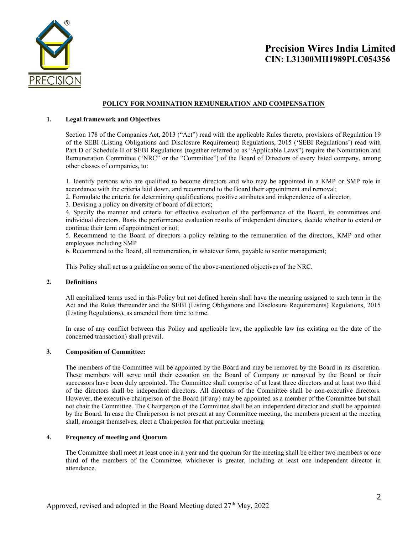

### POLICY FOR NOMINATION REMUNERATION AND COMPENSATION

#### 1. Legal framework and Objectives

Section 178 of the Companies Act, 2013 ("Act") read with the applicable Rules thereto, provisions of Regulation 19 of the SEBI (Listing Obligations and Disclosure Requirement) Regulations, 2015 ('SEBI Regulations') read with Part D of Schedule II of SEBI Regulations (together referred to as "Applicable Laws") require the Nomination and Remuneration Committee ("NRC" or the "Committee") of the Board of Directors of every listed company, among other classes of companies, to:

1. Identify persons who are qualified to become directors and who may be appointed in a KMP or SMP role in accordance with the criteria laid down, and recommend to the Board their appointment and removal;

2. Formulate the criteria for determining qualifications, positive attributes and independence of a director;

3. Devising a policy on diversity of board of directors;

4. Specify the manner and criteria for effective evaluation of the performance of the Board, its committees and individual directors. Basis the performance evaluation results of independent directors, decide whether to extend or continue their term of appointment or not;

5. Recommend to the Board of directors a policy relating to the remuneration of the directors, KMP and other employees including SMP

6. Recommend to the Board, all remuneration, in whatever form, payable to senior management;

This Policy shall act as a guideline on some of the above-mentioned objectives of the NRC.

#### 2. Definitions

All capitalized terms used in this Policy but not defined herein shall have the meaning assigned to such term in the Act and the Rules thereunder and the SEBI (Listing Obligations and Disclosure Requirements) Regulations, 2015 (Listing Regulations), as amended from time to time.

In case of any conflict between this Policy and applicable law, the applicable law (as existing on the date of the concerned transaction) shall prevail.

#### 3. Composition of Committee:

The members of the Committee will be appointed by the Board and may be removed by the Board in its discretion. These members will serve until their cessation on the Board of Company or removed by the Board or their successors have been duly appointed. The Committee shall comprise of at least three directors and at least two third of the directors shall be independent directors. All directors of the Committee shall be non-executive directors. However, the executive chairperson of the Board (if any) may be appointed as a member of the Committee but shall not chair the Committee. The Chairperson of the Committee shall be an independent director and shall be appointed by the Board. In case the Chairperson is not present at any Committee meeting, the members present at the meeting shall, amongst themselves, elect a Chairperson for that particular meeting

#### 4. Frequency of meeting and Quorum

The Committee shall meet at least once in a year and the quorum for the meeting shall be either two members or one third of the members of the Committee, whichever is greater, including at least one independent director in attendance.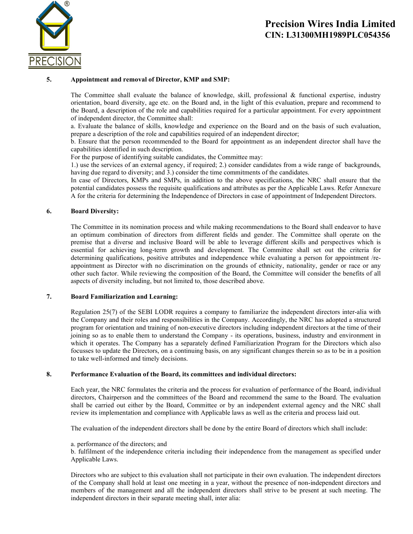

### 5. Appointment and removal of Director, KMP and SMP:

The Committee shall evaluate the balance of knowledge, skill, professional & functional expertise, industry orientation, board diversity, age etc. on the Board and, in the light of this evaluation, prepare and recommend to the Board, a description of the role and capabilities required for a particular appointment. For every appointment of independent director, the Committee shall:

a. Evaluate the balance of skills, knowledge and experience on the Board and on the basis of such evaluation, prepare a description of the role and capabilities required of an independent director;

b. Ensure that the person recommended to the Board for appointment as an independent director shall have the capabilities identified in such description.

For the purpose of identifying suitable candidates, the Committee may:

1.) use the services of an external agency, if required; 2.) consider candidates from a wide range of backgrounds, having due regard to diversity; and 3.) consider the time commitments of the candidates.

In case of Directors, KMPs and SMPs, in addition to the above specifications, the NRC shall ensure that the potential candidates possess the requisite qualifications and attributes as per the Applicable Laws. Refer Annexure A for the criteria for determining the Independence of Directors in case of appointment of Independent Directors.

#### 6. Board Diversity:

The Committee in its nomination process and while making recommendations to the Board shall endeavor to have an optimum combination of directors from different fields and gender. The Committee shall operate on the premise that a diverse and inclusive Board will be able to leverage different skills and perspectives which is essential for achieving long-term growth and development. The Committee shall set out the criteria for determining qualifications, positive attributes and independence while evaluating a person for appointment /reappointment as Director with no discrimination on the grounds of ethnicity, nationality, gender or race or any other such factor. While reviewing the composition of the Board, the Committee will consider the benefits of all aspects of diversity including, but not limited to, those described above.

#### 7. Board Familiarization and Learning:

Regulation 25(7) of the SEBI LODR requires a company to familiarize the independent directors inter‐alia with the Company and their roles and responsibilities in the Company. Accordingly, the NRC has adopted a structured program for orientation and training of non-executive directors including independent directors at the time of their joining so as to enable them to understand the Company - its operations, business, industry and environment in which it operates. The Company has a separately defined Familiarization Program for the Directors which also focusses to update the Directors, on a continuing basis, on any significant changes therein so as to be in a position to take well-informed and timely decisions.

#### 8. Performance Evaluation of the Board, its committees and individual directors:

Each year, the NRC formulates the criteria and the process for evaluation of performance of the Board, individual directors, Chairperson and the committees of the Board and recommend the same to the Board. The evaluation shall be carried out either by the Board, Committee or by an independent external agency and the NRC shall review its implementation and compliance with Applicable laws as well as the criteria and process laid out.

The evaluation of the independent directors shall be done by the entire Board of directors which shall include:

#### a. performance of the directors; and

b. fulfilment of the independence criteria including their independence from the management as specified under Applicable Laws.

Directors who are subject to this evaluation shall not participate in their own evaluation. The independent directors of the Company shall hold at least one meeting in a year, without the presence of non-independent directors and members of the management and all the independent directors shall strive to be present at such meeting. The independent directors in their separate meeting shall, inter alia: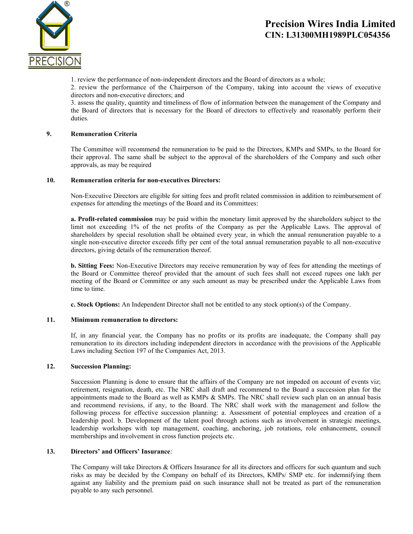

1. review the performance of non-independent directors and the Board of directors as a whole;

2. review the performance of the Chairperson of the Company, taking into account the views of executive directors and non-executive directors; and

3. assess the quality, quantity and timeliness of flow of information between the management of the Company and the Board of directors that is necessary for the Board of directors to effectively and reasonably perform their duties.

### 9. Remuneration Criteria

The Committee will recommend the remuneration to be paid to the Directors, KMPs and SMPs, to the Board for their approval. The same shall be subject to the approval of the shareholders of the Company and such other approvals, as may be required

#### 10. Remuneration criteria for non-executives Directors:

Non-Executive Directors are eligible for sitting fees and profit related commission in addition to reimbursement of expenses for attending the meetings of the Board and its Committees:

a. Profit-related commission may be paid within the monetary limit approved by the shareholders subject to the limit not exceeding 1% of the net profits of the Company as per the Applicable Laws. The approval of shareholders by special resolution shall be obtained every year, in which the annual remuneration payable to a single non-executive director exceeds fifty per cent of the total annual remuneration payable to all non-executive directors, giving details of the remuneration thereof.

b. Sitting Fees: Non-Executive Directors may receive remuneration by way of fees for attending the meetings of the Board or Committee thereof provided that the amount of such fees shall not exceed rupees one lakh per meeting of the Board or Committee or any such amount as may be prescribed under the Applicable Laws from time to time.

c. Stock Options: An Independent Director shall not be entitled to any stock option(s) of the Company.

#### 11. Minimum remuneration to directors:

If, in any financial year, the Company has no profits or its profits are inadequate, the Company shall pay remuneration to its directors including independent directors in accordance with the provisions of the Applicable Laws including Section 197 of the Companies Act, 2013.

#### 12. Succession Planning:

Succession Planning is done to ensure that the affairs of the Company are not impeded on account of events viz; retirement, resignation, death, etc. The NRC shall draft and recommend to the Board a succession plan for the appointments made to the Board as well as KMPs & SMPs. The NRC shall review such plan on an annual basis and recommend revisions, if any, to the Board. The NRC shall work with the management and follow the following process for effective succession planning: a. Assessment of potential employees and creation of a leadership pool. b. Development of the talent pool through actions such as involvement in strategic meetings, leadership workshops with top management, coaching, anchoring, job rotations, role enhancement, council memberships and involvement in cross function projects etc.

#### 13. Directors' and Officers' Insurance:

The Company will take Directors & Officers Insurance for all its directors and officers for such quantum and such risks as may be decided by the Company on behalf of its Directors, KMPs/ SMP etc. for indemnifying them against any liability and the premium paid on such insurance shall not be treated as part of the remuneration payable to any such personnel.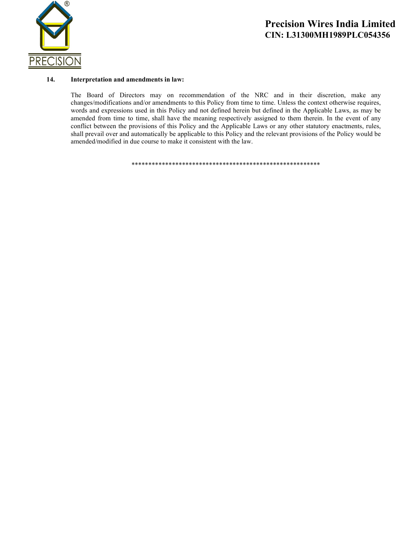

#### 14. Interpretation and amendments in law:

The Board of Directors may on recommendation of the NRC and in their discretion, make any changes/modifications and/or amendments to this Policy from time to time. Unless the context otherwise requires, words and expressions used in this Policy and not defined herein but defined in the Applicable Laws, as may be amended from time to time, shall have the meaning respectively assigned to them therein. In the event of any conflict between the provisions of this Policy and the Applicable Laws or any other statutory enactments, rules, shall prevail over and automatically be applicable to this Policy and the relevant provisions of the Policy would be amended/modified in due course to make it consistent with the law.